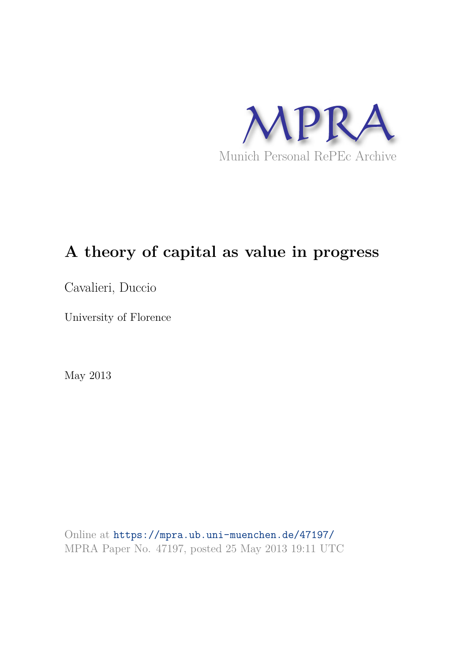

# **A theory of capital as value in progress**

Cavalieri, Duccio

University of Florence

May 2013

Online at https://mpra.ub.uni-muenchen.de/47197/ MPRA Paper No. 47197, posted 25 May 2013 19:11 UTC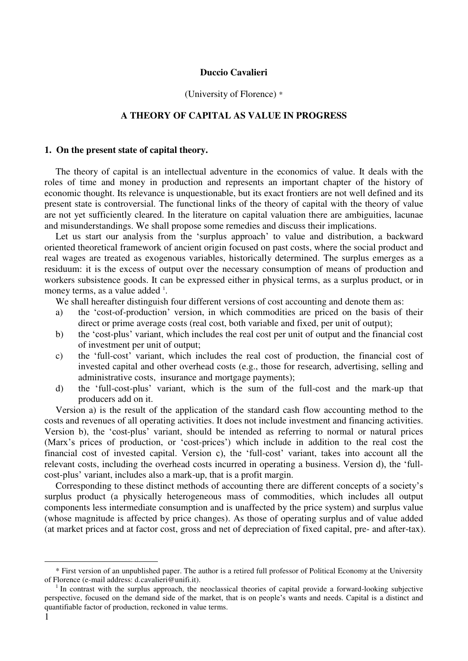## **Duccio Cavalieri**

#### (University of Florence) \*

# **A THEORY OF CAPITAL AS VALUE IN PROGRESS**

### **1. On the present state of capital theory.**

The theory of capital is an intellectual adventure in the economics of value. It deals with the roles of time and money in production and represents an important chapter of the history of economic thought. Its relevance is unquestionable, but its exact frontiers are not well defined and its present state is controversial. The functional links of the theory of capital with the theory of value are not yet sufficiently cleared. In the literature on capital valuation there are ambiguities, lacunae and misunderstandings. We shall propose some remedies and discuss their implications.

Let us start our analysis from the 'surplus approach' to value and distribution, a backward oriented theoretical framework of ancient origin focused on past costs, where the social product and real wages are treated as exogenous variables, historically determined. The surplus emerges as a residuum: it is the excess of output over the necessary consumption of means of production and workers subsistence goods. It can be expressed either in physical terms, as a surplus product, or in money terms, as a value added <sup>1</sup>.

We shall hereafter distinguish four different versions of cost accounting and denote them as:

- a) the 'cost-of-production' version, in which commodities are priced on the basis of their direct or prime average costs (real cost, both variable and fixed, per unit of output);
- b) the 'cost-plus' variant, which includes the real cost per unit of output and the financial cost of investment per unit of output;
- c) the 'full-cost' variant, which includes the real cost of production, the financial cost of invested capital and other overhead costs (e.g., those for research, advertising, selling and administrative costs, insurance and mortgage payments);
- d) the 'full-cost-plus' variant, which is the sum of the full-cost and the mark-up that producers add on it.

Version a) is the result of the application of the standard cash flow accounting method to the costs and revenues of all operating activities. It does not include investment and financing activities. Version b), the 'cost-plus' variant, should be intended as referring to normal or natural prices (Marx's prices of production, or 'cost-prices') which include in addition to the real cost the financial cost of invested capital. Version c), the 'full-cost' variant, takes into account all the relevant costs, including the overhead costs incurred in operating a business. Version d), the 'fullcost-plus' variant, includes also a mark-up, that is a profit margin.

Corresponding to these distinct methods of accounting there are different concepts of a society's surplus product (a physically heterogeneous mass of commodities, which includes all output components less intermediate consumption and is unaffected by the price system) and surplus value (whose magnitude is affected by price changes). As those of operating surplus and of value added (at market prices and at factor cost, gross and net of depreciation of fixed capital, pre- and after-tax).

<sup>\*</sup> First version of an unpublished paper. The author is a retired full professor of Political Economy at the University of Florence (e-mail address: d.cavalieri@unifi.it).

<sup>1</sup> In contrast with the surplus approach, the neoclassical theories of capital provide a forward-looking subjective perspective, focused on the demand side of the market, that is on people's wants and needs. Capital is a distinct and quantifiable factor of production, reckoned in value terms.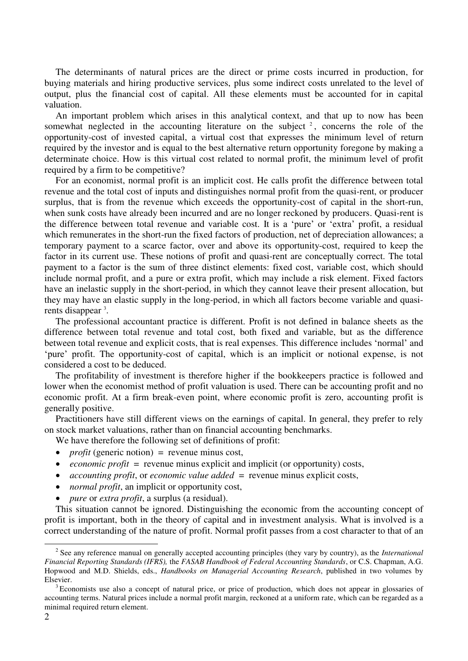The determinants of natural prices are the direct or prime costs incurred in production, for buying materials and hiring productive services, plus some indirect costs unrelated to the level of output, plus the financial cost of capital. All these elements must be accounted for in capital valuation.

An important problem which arises in this analytical context, and that up to now has been somewhat neglected in the accounting literature on the subject  $2$ , concerns the role of the opportunity-cost of invested capital, a virtual cost that expresses the minimum level of return required by the investor and is equal to the best alternative return opportunity foregone by making a determinate choice. How is this virtual cost related to normal profit, the minimum level of profit required by a firm to be competitive?

For an economist, normal profit is an implicit cost. He calls profit the difference between total revenue and the total cost of inputs and distinguishes normal profit from the quasi-rent, or producer surplus, that is from the revenue which exceeds the opportunity-cost of capital in the short-run, when sunk costs have already been incurred and are no longer reckoned by producers. Quasi-rent is the difference between total revenue and variable cost. It is a 'pure' or 'extra' profit, a residual which remunerates in the short-run the fixed factors of production, net of depreciation allowances; a temporary payment to a scarce factor, over and above its opportunity-cost, required to keep the factor in its current use. These notions of profit and quasi-rent are conceptually correct. The total payment to a factor is the sum of three distinct elements: fixed cost, variable cost, which should include normal profit, and a pure or extra profit, which may include a risk element. Fixed factors have an inelastic supply in the short-period, in which they cannot leave their present allocation, but they may have an elastic supply in the long-period, in which all factors become variable and quasirents disappear<sup>3</sup>.

The professional accountant practice is different. Profit is not defined in balance sheets as the difference between total revenue and total cost, both fixed and variable, but as the difference between total revenue and explicit costs, that is real expenses. This difference includes 'normal' and 'pure' profit. The opportunity-cost of capital, which is an implicit or notional expense, is not considered a cost to be deduced.

The profitability of investment is therefore higher if the bookkeepers practice is followed and lower when the economist method of profit valuation is used. There can be accounting profit and no economic profit. At a firm break-even point, where economic profit is zero, accounting profit is generally positive.

Practitioners have still different views on the earnings of capital. In general, they prefer to rely on stock market valuations, rather than on financial accounting benchmarks.

We have therefore the following set of definitions of profit:

- *profit* (generic notion) = revenue minus cost,
- *economic profit* = revenue minus explicit and implicit (or opportunity) costs,
- *accounting profit*, or *economic value added* = revenue minus explicit costs,
- *normal profit*, an implicit or opportunity cost,
- *pure* or *extra profit*, a surplus (a residual).

This situation cannot be ignored. Distinguishing the economic from the accounting concept of profit is important, both in the theory of capital and in investment analysis. What is involved is a correct understanding of the nature of profit. Normal profit passes from a cost character to that of an

<sup>2</sup> See any reference manual on generally accepted accounting principles (they vary by country), as the *International Financial Reporting Standards (IFRS),* the *FASAB Handbook of Federal Accounting Standards*, or C.S. Chapman, A.G. Hopwood and M.D. Shields, eds., *Handbooks on Managerial Accounting Research*, published in two volumes by Elsevier.

 $3$  Economists use also a concept of natural price, or price of production, which does not appear in glossaries of accounting terms. Natural prices include a normal profit margin, reckoned at a uniform rate, which can be regarded as a minimal required return element.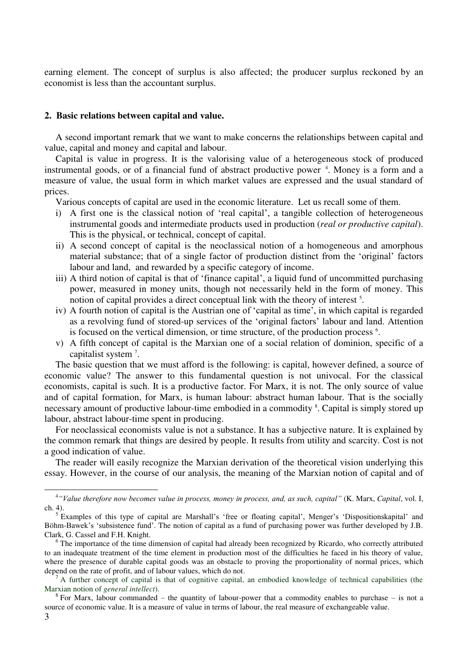earning element. The concept of surplus is also affected; the producer surplus reckoned by an economist is less than the accountant surplus.

#### **2. Basic relations between capital and value.**

1

A second important remark that we want to make concerns the relationships between capital and value, capital and money and capital and labour.

Capital is value in progress. It is the valorising value of a heterogeneous stock of produced instrumental goods, or of a financial fund of abstract productive power<sup>4</sup>. Money is a form and a measure of value, the usual form in which market values are expressed and the usual standard of prices.

Various concepts of capital are used in the economic literature. Let us recall some of them.

- i) A first one is the classical notion of 'real capital', a tangible collection of heterogeneous instrumental goods and intermediate products used in production (*real or productive capital*). This is the physical, or technical, concept of capital.
- ii) A second concept of capital is the neoclassical notion of a homogeneous and amorphous material substance; that of a single factor of production distinct from the 'original' factors labour and land, and rewarded by a specific category of income.
- iii) A third notion of capital is that of 'finance capital', a liquid fund of uncommitted purchasing power, measured in money units, though not necessarily held in the form of money. This notion of capital provides a direct conceptual link with the theory of interest<sup>5</sup>.
- iv) A fourth notion of capital is the Austrian one of 'capital as time', in which capital is regarded as a revolving fund of stored-up services of the 'original factors' labour and land. Attention is focused on the vertical dimension, or time structure, of the production process <sup>6</sup>.
- v) A fifth concept of capital is the Marxian one of a social relation of dominion, specific of a capitalist system<sup>7</sup>.

The basic question that we must afford is the following: is capital, however defined, a source of economic value? The answer to this fundamental question is not univocal. For the classical economists, capital is such. It is a productive factor. For Marx, it is not. The only source of value and of capital formation, for Marx, is human labour: abstract human labour. That is the socially necessary amount of productive labour-time embodied in a commodity <sup>8</sup>. Capital is simply stored up labour, abstract labour-time spent in producing.

For neoclassical economists value is not a substance. It has a subjective nature. It is explained by the common remark that things are desired by people. It results from utility and scarcity. Cost is not a good indication of value.

The reader will easily recognize the Marxian derivation of the theoretical vision underlying this essay. However, in the course of our analysis, the meaning of the Marxian notion of capital and of

<sup>4</sup> *"Value therefore now becomes value in process, money in process, and, as such, capital"* (K. Marx, *Capital*, vol. I, ch. 4).

<sup>&</sup>lt;sup>5</sup> Examples of this type of capital are Marshall's 'free or floating capital', Menger's 'Dispositionskapital' and Böhm-Bawek's 'subsistence fund'. The notion of capital as a fund of purchasing power was further developed by J.B. Clark, G. Cassel and F.H. Knight.

<sup>&</sup>lt;sup>6</sup> The importance of the time dimension of capital had already been recognized by Ricardo, who correctly attributed to an inadequate treatment of the time element in production most of the difficulties he faced in his theory of value, where the presence of durable capital goods was an obstacle to proving the proportionality of normal prices, which depend on the rate of profit, and of labour values, which do not.

 $^7$  A further concept of capital is that of cognitive capital, an embodied knowledge of technical capabilities (the Marxian notion of *general intellect*).

<sup>3</sup>   $8$  For Marx, labour commanded – the quantity of labour-power that a commodity enables to purchase – is not a source of economic value. It is a measure of value in terms of labour, the real measure of exchangeable value.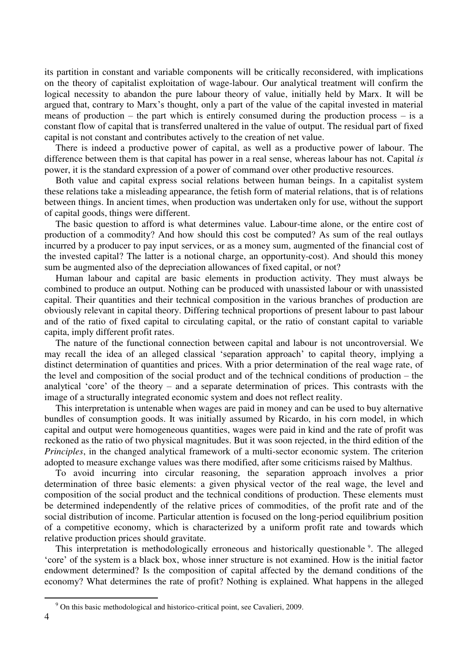its partition in constant and variable components will be critically reconsidered, with implications on the theory of capitalist exploitation of wage-labour. Our analytical treatment will confirm the logical necessity to abandon the pure labour theory of value, initially held by Marx. It will be argued that, contrary to Marx's thought, only a part of the value of the capital invested in material means of production – the part which is entirely consumed during the production process – is a constant flow of capital that is transferred unaltered in the value of output. The residual part of fixed capital is not constant and contributes actively to the creation of net value.

There is indeed a productive power of capital, as well as a productive power of labour. The difference between them is that capital has power in a real sense, whereas labour has not. Capital *is* power, it is the standard expression of a power of command over other productive resources.

Both value and capital express social relations between human beings. In a capitalist system these relations take a misleading appearance, the fetish form of material relations, that is of relations between things. In ancient times, when production was undertaken only for use, without the support of capital goods, things were different.

The basic question to afford is what determines value. Labour-time alone, or the entire cost of production of a commodity? And how should this cost be computed? As sum of the real outlays incurred by a producer to pay input services, or as a money sum, augmented of the financial cost of the invested capital? The latter is a notional charge, an opportunity-cost). And should this money sum be augmented also of the depreciation allowances of fixed capital, or not?

Human labour and capital are basic elements in production activity. They must always be combined to produce an output. Nothing can be produced with unassisted labour or with unassisted capital. Their quantities and their technical composition in the various branches of production are obviously relevant in capital theory. Differing technical proportions of present labour to past labour and of the ratio of fixed capital to circulating capital, or the ratio of constant capital to variable capita, imply different profit rates.

The nature of the functional connection between capital and labour is not uncontroversial. We may recall the idea of an alleged classical 'separation approach' to capital theory, implying a distinct determination of quantities and prices. With a prior determination of the real wage rate, of the level and composition of the social product and of the technical conditions of production – the analytical 'core' of the theory – and a separate determination of prices. This contrasts with the image of a structurally integrated economic system and does not reflect reality.

This interpretation is untenable when wages are paid in money and can be used to buy alternative bundles of consumption goods. It was initially assumed by Ricardo, in his corn model, in which capital and output were homogeneous quantities, wages were paid in kind and the rate of profit was reckoned as the ratio of two physical magnitudes. But it was soon rejected, in the third edition of the *Principles*, in the changed analytical framework of a multi-sector economic system. The criterion adopted to measure exchange values was there modified, after some criticisms raised by Malthus.

To avoid incurring into circular reasoning, the separation approach involves a prior determination of three basic elements: a given physical vector of the real wage, the level and composition of the social product and the technical conditions of production. These elements must be determined independently of the relative prices of commodities, of the profit rate and of the social distribution of income. Particular attention is focused on the long-period equilibrium position of a competitive economy, which is characterized by a uniform profit rate and towards which relative production prices should gravitate.

This interpretation is methodologically erroneous and historically questionable <sup>9</sup>. The alleged 'core' of the system is a black box, whose inner structure is not examined. How is the initial factor endowment determined? Is the composition of capital affected by the demand conditions of the economy? What determines the rate of profit? Nothing is explained. What happens in the alleged

<sup>&</sup>lt;sup>9</sup> On this basic methodological and historico-critical point, see Cavalieri, 2009.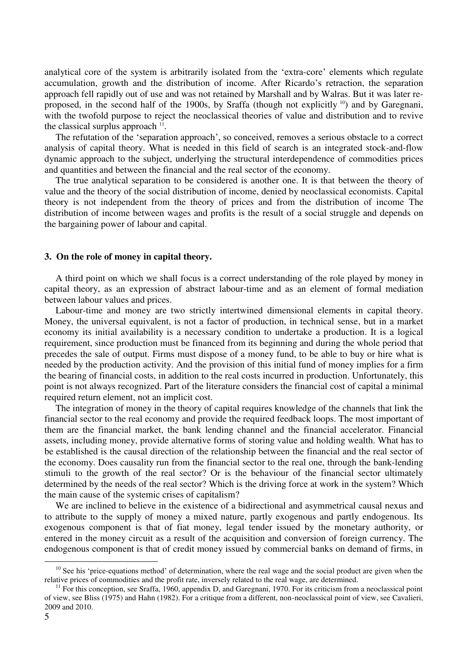analytical core of the system is arbitrarily isolated from the 'extra-core' elements which regulate accumulation, growth and the distribution of income. After Ricardo's retraction, the separation approach fell rapidly out of use and was not retained by Marshall and by Walras. But it was later reproposed, in the second half of the 1900s, by Sraffa (though not explicitly <sup>10</sup>) and by Garegnani, with the twofold purpose to reject the neoclassical theories of value and distribution and to revive the classical surplus approach  $<sup>11</sup>$ .</sup>

The refutation of the 'separation approach', so conceived, removes a serious obstacle to a correct analysis of capital theory. What is needed in this field of search is an integrated stock-and-flow dynamic approach to the subject, underlying the structural interdependence of commodities prices and quantities and between the financial and the real sector of the economy.

The true analytical separation to be considered is another one. It is that between the theory of value and the theory of the social distribution of income, denied by neoclassical economists. Capital theory is not independent from the theory of prices and from the distribution of income The distribution of income between wages and profits is the result of a social struggle and depends on the bargaining power of labour and capital.

## **3. On the role of money in capital theory.**

A third point on which we shall focus is a correct understanding of the role played by money in capital theory, as an expression of abstract labour-time and as an element of formal mediation between labour values and prices.

Labour-time and money are two strictly intertwined dimensional elements in capital theory. Money, the universal equivalent, is not a factor of production, in technical sense, but in a market economy its initial availability is a necessary condition to undertake a production. It is a logical requirement, since production must be financed from its beginning and during the whole period that precedes the sale of output. Firms must dispose of a money fund, to be able to buy or hire what is needed by the production activity. And the provision of this initial fund of money implies for a firm the bearing of financial costs, in addition to the real costs incurred in production. Unfortunately, this point is not always recognized. Part of the literature considers the financial cost of capital a minimal required return element, not an implicit cost.

The integration of money in the theory of capital requires knowledge of the channels that link the financial sector to the real economy and provide the required feedback loops. The most important of them are the financial market, the bank lending channel and the financial accelerator. Financial assets, including money, provide alternative forms of storing value and holding wealth. What has to be established is the causal direction of the relationship between the financial and the real sector of the economy. Does causality run from the financial sector to the real one, through the bank-lending stimuli to the growth of the real sector? Or is the behaviour of the financial sector ultimately determined by the needs of the real sector? Which is the driving force at work in the system? Which the main cause of the systemic crises of capitalism?

We are inclined to believe in the existence of a bidirectional and asymmetrical causal nexus and to attribute to the supply of money a mixed nature, partly exogenous and partly endogenous. Its exogenous component is that of fiat money, legal tender issued by the monetary authority, or entered in the money circuit as a result of the acquisition and conversion of foreign currency. The endogenous component is that of credit money issued by commercial banks on demand of firms, in

 $10$  See his 'price-equations method' of determination, where the real wage and the social product are given when the relative prices of commodities and the profit rate, inversely related to the real wage, are determined.

 $11$  For this conception, see Sraffa, 1960, appendix D, and Garegnani, 1970. For its criticism from a neoclassical point of view, see Bliss (1975) and Hahn (1982). For a critique from a different, non-neoclassical point of view, see Cavalieri, 2009 and 2010.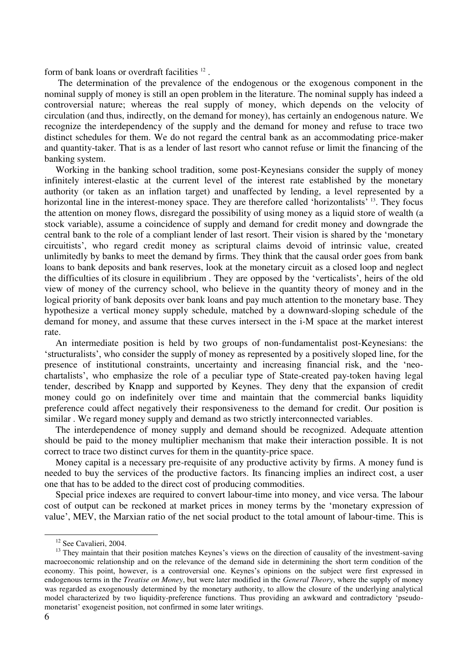form of bank loans or overdraft facilities<sup>12</sup>.

 The determination of the prevalence of the endogenous or the exogenous component in the nominal supply of money is still an open problem in the literature. The nominal supply has indeed a controversial nature; whereas the real supply of money, which depends on the velocity of circulation (and thus, indirectly, on the demand for money), has certainly an endogenous nature. We recognize the interdependency of the supply and the demand for money and refuse to trace two distinct schedules for them. We do not regard the central bank as an accommodating price-maker and quantity-taker. That is as a lender of last resort who cannot refuse or limit the financing of the banking system.

Working in the banking school tradition, some post-Keynesians consider the supply of money infinitely interest-elastic at the current level of the interest rate established by the monetary authority (or taken as an inflation target) and unaffected by lending, a level represented by a horizontal line in the interest-money space. They are therefore called 'horizontalists' <sup>13</sup>. They focus the attention on money flows, disregard the possibility of using money as a liquid store of wealth (a stock variable), assume a coincidence of supply and demand for credit money and downgrade the central bank to the role of a compliant lender of last resort. Their vision is shared by the 'monetary circuitists', who regard credit money as scriptural claims devoid of intrinsic value, created unlimitedly by banks to meet the demand by firms. They think that the causal order goes from bank loans to bank deposits and bank reserves, look at the monetary circuit as a closed loop and neglect the difficulties of its closure in equilibrium . They are opposed by the 'verticalists', heirs of the old view of money of the currency school, who believe in the quantity theory of money and in the logical priority of bank deposits over bank loans and pay much attention to the monetary base. They hypothesize a vertical money supply schedule, matched by a downward-sloping schedule of the demand for money, and assume that these curves intersect in the i-M space at the market interest rate.

An intermediate position is held by two groups of non-fundamentalist post-Keynesians: the 'structuralists', who consider the supply of money as represented by a positively sloped line, for the presence of institutional constraints, uncertainty and increasing financial risk, and the 'neochartalists', who emphasize the role of a peculiar type of State-created pay-token having legal tender, described by Knapp and supported by Keynes. They deny that the expansion of credit money could go on indefinitely over time and maintain that the commercial banks liquidity preference could affect negatively their responsiveness to the demand for credit. Our position is similar . We regard money supply and demand as two strictly interconnected variables.

The interdependence of money supply and demand should be recognized. Adequate attention should be paid to the money multiplier mechanism that make their interaction possible. It is not correct to trace two distinct curves for them in the quantity-price space.

Money capital is a necessary pre-requisite of any productive activity by firms. A money fund is needed to buy the services of the productive factors. Its financing implies an indirect cost, a user one that has to be added to the direct cost of producing commodities.

Special price indexes are required to convert labour-time into money, and vice versa. The labour cost of output can be reckoned at market prices in money terms by the 'monetary expression of value', MEV, the Marxian ratio of the net social product to the total amount of labour-time. This is

<sup>&</sup>lt;sup>12</sup> See Cavalieri, 2004.

<sup>&</sup>lt;sup>13</sup> They maintain that their position matches Keynes's views on the direction of causality of the investment-saving macroeconomic relationship and on the relevance of the demand side in determining the short term condition of the economy. This point, however, is a controversial one. Keynes's opinions on the subject were first expressed in endogenous terms in the *Treatise on Money*, but were later modified in the *General Theory*, where the supply of money was regarded as exogenously determined by the monetary authority, to allow the closure of the underlying analytical model characterized by two liquidity-preference functions. Thus providing an awkward and contradictory 'pseudomonetarist' exogeneist position, not confirmed in some later writings.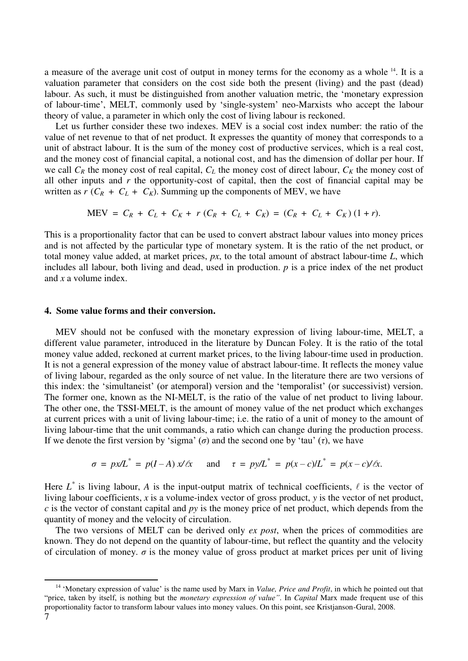a measure of the average unit cost of output in money terms for the economy as a whole <sup>14</sup>. It is a valuation parameter that considers on the cost side both the present (living) and the past (dead) labour. As such, it must be distinguished from another valuation metric, the 'monetary expression of labour-time', MELT, commonly used by 'single-system' neo-Marxists who accept the labour theory of value, a parameter in which only the cost of living labour is reckoned.

Let us further consider these two indexes. MEV is a social cost index number: the ratio of the value of net revenue to that of net product. It expresses the quantity of money that corresponds to a unit of abstract labour. It is the sum of the money cost of productive services, which is a real cost, and the money cost of financial capital, a notional cost, and has the dimension of dollar per hour. If we call  $C_R$  the money cost of real capital,  $C_L$  the money cost of direct labour,  $C_K$  the money cost of all other inputs and *r* the opportunity-cost of capital, then the cost of financial capital may be written as  $r$  ( $C_R$  +  $C_L$  +  $C_K$ ). Summing up the components of MEV, we have

$$
MEV = C_R + C_L + C_K + r(C_R + C_L + C_K) = (C_R + C_L + C_K) (1+r).
$$

This is a proportionality factor that can be used to convert abstract labour values into money prices and is not affected by the particular type of monetary system. It is the ratio of the net product, or total money value added, at market prices, *px*, to the total amount of abstract labour-time *L*, which includes all labour, both living and dead, used in production. *p* is a price index of the net product and *x* a volume index.

#### **4. Some value forms and their conversion.**

<u>.</u>

MEV should not be confused with the monetary expression of living labour-time, MELT, a different value parameter, introduced in the literature by Duncan Foley. It is the ratio of the total money value added, reckoned at current market prices, to the living labour-time used in production. It is not a general expression of the money value of abstract labour-time. It reflects the money value of living labour, regarded as the only source of net value. In the literature there are two versions of this index: the 'simultaneist' (or atemporal) version and the 'temporalist' (or successivist) version. The former one, known as the NI-MELT, is the ratio of the value of net product to living labour. The other one, the TSSI-MELT, is the amount of money value of the net product which exchanges at current prices with a unit of living labour-time; i.e. the ratio of a unit of money to the amount of living labour-time that the unit commands, a ratio which can change during the production process. If we denote the first version by 'sigma' (*σ*) and the second one by 'tau' (*τ*), we have

$$
\sigma = px/L^* = p(I - A)x/\ell x \quad \text{and} \quad \tau = py/L^* = p(x - c)/L^* = p(x - c)/\ell x.
$$

Here  $L^*$  is living labour, A is the input-output matrix of technical coefficients,  $\ell$  is the vector of living labour coefficients, *x* is a volume-index vector of gross product, *y* is the vector of net product, *c* is the vector of constant capital and *py* is the money price of net product, which depends from the quantity of money and the velocity of circulation.

The two versions of MELT can be derived only *ex post*, when the prices of commodities are known. They do not depend on the quantity of labour-time, but reflect the quantity and the velocity of circulation of money.  $\sigma$  is the money value of gross product at market prices per unit of living

<sup>7</sup>  <sup>14</sup> 'Monetary expression of value' is the name used by Marx in *Value, Price and Profit*, in which he pointed out that "price, taken by itself, is nothing but the *monetary expression of value"*. In *Capital* Marx made frequent use of this proportionality factor to transform labour values into money values. On this point, see Kristjanson-Gural, 2008.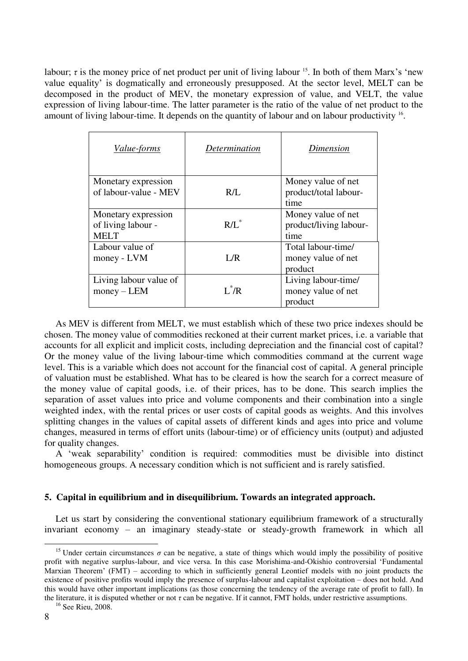labour;  $\tau$  is the money price of net product per unit of living labour <sup>15</sup>. In both of them Marx's 'new value equality' is dogmatically and erroneously presupposed. At the sector level, MELT can be decomposed in the product of MEV, the monetary expression of value, and VELT, the value expression of living labour-time. The latter parameter is the ratio of the value of net product to the amount of living labour-time. It depends on the quantity of labour and on labour productivity <sup>16</sup>.

| <i>Value-forms</i>                                       | Determination | Dimension                                            |
|----------------------------------------------------------|---------------|------------------------------------------------------|
| Monetary expression<br>of labour-value - MEV             | R/L           | Money value of net<br>product/total labour-<br>time  |
| Monetary expression<br>of living labour -<br><b>MELT</b> | $R/I^*$       | Money value of net<br>product/living labour-<br>time |
| Labour value of<br>money - LVM                           | L/R           | Total labour-time/<br>money value of net<br>product  |
| Living labour value of<br>$money - LEM$                  | $I^*/R$       | Living labour-time/<br>money value of net<br>product |

As MEV is different from MELT, we must establish which of these two price indexes should be chosen. The money value of commodities reckoned at their current market prices, i.e. a variable that accounts for all explicit and implicit costs, including depreciation and the financial cost of capital? Or the money value of the living labour-time which commodities command at the current wage level. This is a variable which does not account for the financial cost of capital. A general principle of valuation must be established. What has to be cleared is how the search for a correct measure of the money value of capital goods, i.e. of their prices, has to be done. This search implies the separation of asset values into price and volume components and their combination into a single weighted index, with the rental prices or user costs of capital goods as weights. And this involves splitting changes in the values of capital assets of different kinds and ages into price and volume changes, measured in terms of effort units (labour-time) or of efficiency units (output) and adjusted for quality changes.

A 'weak separability' condition is required: commodities must be divisible into distinct homogeneous groups. A necessary condition which is not sufficient and is rarely satisfied.

# **5. Capital in equilibrium and in disequilibrium. Towards an integrated approach.**

Let us start by considering the conventional stationary equilibrium framework of a structurally invariant economy – an imaginary steady-state or steady-growth framework in which all

<sup>&</sup>lt;sup>15</sup> Under certain circumstances  $\sigma$  can be negative, a state of things which would imply the possibility of positive profit with negative surplus-labour, and vice versa. In this case Morishima-and-Okishio controversial 'Fundamental Marxian Theorem' (FMT) – according to which in sufficiently general Leontief models with no joint products the existence of positive profits would imply the presence of surplus-labour and capitalist exploitation – does not hold. And this would have other important implications (as those concerning the tendency of the average rate of profit to fall). In the literature, it is disputed whether or not *τ* can be negative. If it cannot, FMT holds, under restrictive assumptions.

<sup>&</sup>lt;sup>16</sup> See Rieu, 2008.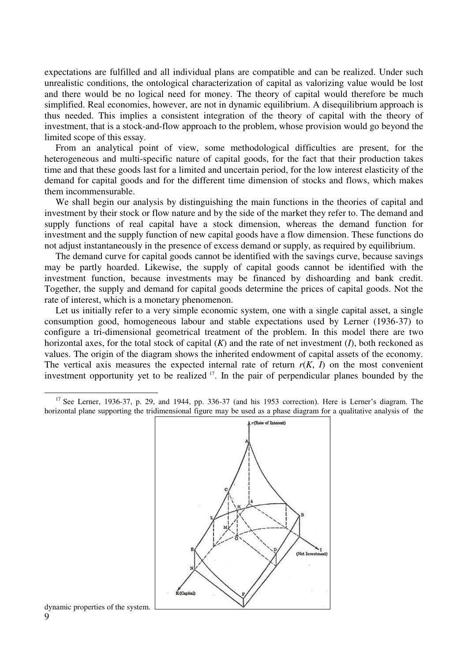expectations are fulfilled and all individual plans are compatible and can be realized. Under such unrealistic conditions, the ontological characterization of capital as valorizing value would be lost and there would be no logical need for money. The theory of capital would therefore be much simplified. Real economies, however, are not in dynamic equilibrium. A disequilibrium approach is thus needed. This implies a consistent integration of the theory of capital with the theory of investment, that is a stock-and-flow approach to the problem, whose provision would go beyond the limited scope of this essay.

From an analytical point of view, some methodological difficulties are present, for the heterogeneous and multi-specific nature of capital goods, for the fact that their production takes time and that these goods last for a limited and uncertain period, for the low interest elasticity of the demand for capital goods and for the different time dimension of stocks and flows, which makes them incommensurable.

We shall begin our analysis by distinguishing the main functions in the theories of capital and investment by their stock or flow nature and by the side of the market they refer to. The demand and supply functions of real capital have a stock dimension, whereas the demand function for investment and the supply function of new capital goods have a flow dimension. These functions do not adjust instantaneously in the presence of excess demand or supply, as required by equilibrium.

The demand curve for capital goods cannot be identified with the savings curve, because savings may be partly hoarded. Likewise, the supply of capital goods cannot be identified with the investment function, because investments may be financed by dishoarding and bank credit. Together, the supply and demand for capital goods determine the prices of capital goods. Not the rate of interest, which is a monetary phenomenon.

Let us initially refer to a very simple economic system, one with a single capital asset, a single consumption good, homogeneous labour and stable expectations used by Lerner (1936-37) to configure a tri-dimensional geometrical treatment of the problem. In this model there are two horizontal axes, for the total stock of capital (*K*) and the rate of net investment (*I*), both reckoned as values. The origin of the diagram shows the inherited endowment of capital assets of the economy. The vertical axis measures the expected internal rate of return  $r(K, I)$  on the most convenient investment opportunity yet to be realized <sup>17</sup>. In the pair of perpendicular planes bounded by the

<sup>&</sup>lt;sup>17</sup> See Lerner, 1936-37, p. 29, and 1944, pp. 336-37 (and his 1953 correction). Here is Lerner's diagram. The horizontal plane supporting the tridimensional figure may be used as a phase diagram for a qualitative analysis of the



9 dynamic properties of the system.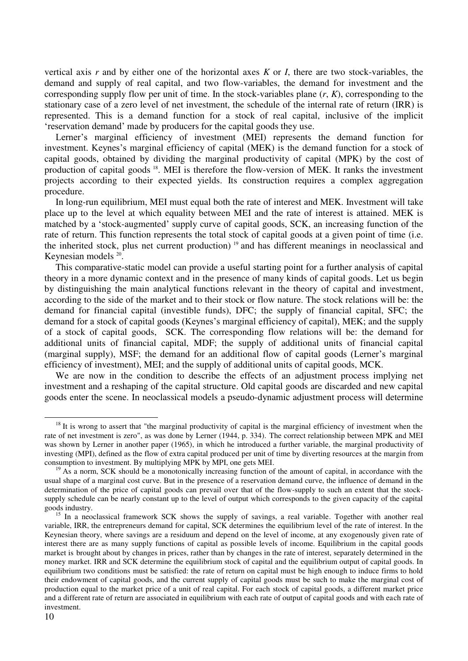vertical axis *r* and by either one of the horizontal axes *K* or *I*, there are two stock-variables, the demand and supply of real capital, and two flow-variables, the demand for investment and the corresponding supply flow per unit of time. In the stock-variables plane (*r*, *K*), corresponding to the stationary case of a zero level of net investment, the schedule of the internal rate of return (IRR) is represented. This is a demand function for a stock of real capital, inclusive of the implicit 'reservation demand' made by producers for the capital goods they use.

Lerner's marginal efficiency of investment (MEI) represents the demand function for investment. Keynes's marginal efficiency of capital (MEK) is the demand function for a stock of capital goods, obtained by dividing the marginal productivity of capital (MPK) by the cost of production of capital goods <sup>18</sup>. MEI is therefore the flow-version of MEK. It ranks the investment projects according to their expected yields. Its construction requires a complex aggregation procedure.

In long-run equilibrium, MEI must equal both the rate of interest and MEK. Investment will take place up to the level at which equality between MEI and the rate of interest is attained. MEK is matched by a 'stock-augmented' supply curve of capital goods, SCK, an increasing function of the rate of return. This function represents the total stock of capital goods at a given point of time (i.e. the inherited stock, plus net current production) <sup>19</sup> and has different meanings in neoclassical and Keynesian models <sup>20</sup>.

This comparative-static model can provide a useful starting point for a further analysis of capital theory in a more dynamic context and in the presence of many kinds of capital goods. Let us begin by distinguishing the main analytical functions relevant in the theory of capital and investment, according to the side of the market and to their stock or flow nature. The stock relations will be: the demand for financial capital (investible funds), DFC; the supply of financial capital, SFC; the demand for a stock of capital goods (Keynes's marginal efficiency of capital), MEK; and the supply of a stock of capital goods, SCK. The corresponding flow relations will be: the demand for additional units of financial capital, MDF; the supply of additional units of financial capital (marginal supply), MSF; the demand for an additional flow of capital goods (Lerner's marginal efficiency of investment), MEI; and the supply of additional units of capital goods, MCK.

We are now in the condition to describe the effects of an adjustment process implying net investment and a reshaping of the capital structure. Old capital goods are discarded and new capital goods enter the scene. In neoclassical models a pseudo-dynamic adjustment process will determine

 $18$  It is wrong to assert that "the marginal productivity of capital is the marginal efficiency of investment when the rate of net investment is zero", as was done by Lerner (1944, p. 334). The correct relationship between MPK and MEI was shown by Lerner in another paper (1965), in which he introduced a further variable, the marginal productivity of investing (MPI), defined as the flow of extra capital produced per unit of time by diverting resources at the margin from consumption to investment. By multiplying MPK by MPI, one gets MEI.

<sup>&</sup>lt;sup>19</sup> As a norm, SCK should be a monotonically increasing function of the amount of capital, in accordance with the usual shape of a marginal cost curve. But in the presence of a reservation demand curve, the influence of demand in the determination of the price of capital goods can prevail over that of the flow-supply to such an extent that the stocksupply schedule can be nearly constant up to the level of output which corresponds to the given capacity of the capital goods industry.

<sup>&</sup>lt;sup>15</sup> In a neoclassical framework SCK shows the supply of savings, a real variable. Together with another real variable, IRR, the entrepreneurs demand for capital, SCK determines the equilibrium level of the rate of interest. In the Keynesian theory, where savings are a residuum and depend on the level of income, at any exogenously given rate of interest there are as many supply functions of capital as possible levels of income. Equilibrium in the capital goods market is brought about by changes in prices, rather than by changes in the rate of interest, separately determined in the money market. IRR and SCK determine the equilibrium stock of capital and the equilibrium output of capital goods. In equilibrium two conditions must be satisfied: the rate of return on capital must be high enough to induce firms to hold their endowment of capital goods, and the current supply of capital goods must be such to make the marginal cost of production equal to the market price of a unit of real capital. For each stock of capital goods, a different market price and a different rate of return are associated in equilibrium with each rate of output of capital goods and with each rate of investment.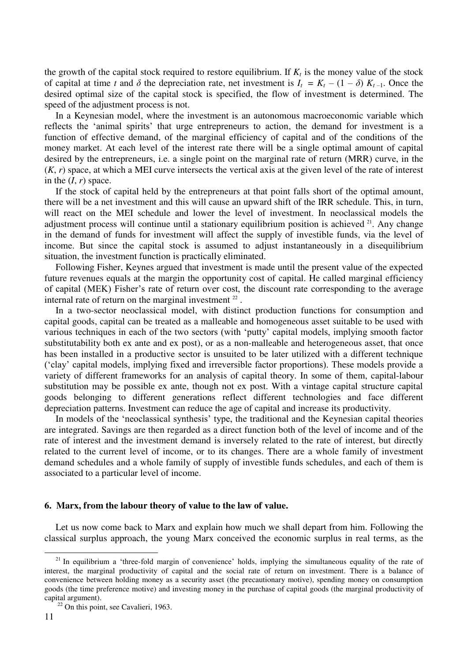the growth of the capital stock required to restore equilibrium. If  $K_t$  is the money value of the stock of capital at time *t* and  $\delta$  the depreciation rate, net investment is  $I_t = K_t - (1 - \delta) K_{t-1}$ . Once the desired optimal size of the capital stock is specified, the flow of investment is determined. The speed of the adjustment process is not.

In a Keynesian model, where the investment is an autonomous macroeconomic variable which reflects the 'animal spirits' that urge entrepreneurs to action, the demand for investment is a function of effective demand, of the marginal efficiency of capital and of the conditions of the money market. At each level of the interest rate there will be a single optimal amount of capital desired by the entrepreneurs, i.e. a single point on the marginal rate of return (MRR) curve, in the (*K*, *r*) space, at which a MEI curve intersects the vertical axis at the given level of the rate of interest in the  $(I, r)$  space.

If the stock of capital held by the entrepreneurs at that point falls short of the optimal amount, there will be a net investment and this will cause an upward shift of the IRR schedule. This, in turn, will react on the MEI schedule and lower the level of investment. In neoclassical models the adjustment process will continue until a stationary equilibrium position is achieved <sup>21</sup>. Any change in the demand of funds for investment will affect the supply of investible funds, via the level of income. But since the capital stock is assumed to adjust instantaneously in a disequilibrium situation, the investment function is practically eliminated.

Following Fisher, Keynes argued that investment is made until the present value of the expected future revenues equals at the margin the opportunity cost of capital. He called marginal efficiency of capital (MEK) Fisher's rate of return over cost, the discount rate corresponding to the average internal rate of return on the marginal investment  $22$ .

In a two-sector neoclassical model, with distinct production functions for consumption and capital goods, capital can be treated as a malleable and homogeneous asset suitable to be used with various techniques in each of the two sectors (with 'putty' capital models, implying smooth factor substitutability both ex ante and ex post), or as a non-malleable and heterogeneous asset, that once has been installed in a productive sector is unsuited to be later utilized with a different technique ('clay' capital models, implying fixed and irreversible factor proportions). These models provide a variety of different frameworks for an analysis of capital theory. In some of them, capital-labour substitution may be possible ex ante, though not ex post. With a vintage capital structure capital goods belonging to different generations reflect different technologies and face different depreciation patterns. Investment can reduce the age of capital and increase its productivity.

In models of the 'neoclassical synthesis' type, the traditional and the Keynesian capital theories are integrated. Savings are then regarded as a direct function both of the level of income and of the rate of interest and the investment demand is inversely related to the rate of interest, but directly related to the current level of income, or to its changes. There are a whole family of investment demand schedules and a whole family of supply of investible funds schedules, and each of them is associated to a particular level of income.

## **6. Marx, from the labour theory of value to the law of value.**

Let us now come back to Marx and explain how much we shall depart from him. Following the classical surplus approach, the young Marx conceived the economic surplus in real terms, as the

 $21$  In equilibrium a 'three-fold margin of convenience' holds, implying the simultaneous equality of the rate of interest, the marginal productivity of capital and the social rate of return on investment. There is a balance of convenience between holding money as a security asset (the precautionary motive), spending money on consumption goods (the time preference motive) and investing money in the purchase of capital goods (the marginal productivity of capital argument).

<sup>&</sup>lt;sup>22</sup> On this point, see Cavalieri, 1963.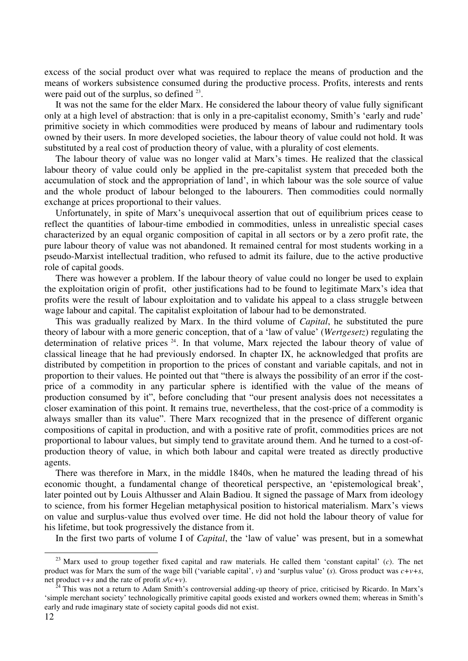excess of the social product over what was required to replace the means of production and the means of workers subsistence consumed during the productive process. Profits, interests and rents were paid out of the surplus, so defined  $2<sup>3</sup>$ .

It was not the same for the elder Marx. He considered the labour theory of value fully significant only at a high level of abstraction: that is only in a pre-capitalist economy, Smith's 'early and rude' primitive society in which commodities were produced by means of labour and rudimentary tools owned by their users. In more developed societies, the labour theory of value could not hold. It was substituted by a real cost of production theory of value, with a plurality of cost elements.

The labour theory of value was no longer valid at Marx's times. He realized that the classical labour theory of value could only be applied in the pre-capitalist system that preceded both the accumulation of stock and the appropriation of land', in which labour was the sole source of value and the whole product of labour belonged to the labourers. Then commodities could normally exchange at prices proportional to their values.

Unfortunately, in spite of Marx's unequivocal assertion that out of equilibrium prices cease to reflect the quantities of labour-time embodied in commodities, unless in unrealistic special cases characterized by an equal organic composition of capital in all sectors or by a zero profit rate, the pure labour theory of value was not abandoned. It remained central for most students working in a pseudo-Marxist intellectual tradition, who refused to admit its failure, due to the active productive role of capital goods.

There was however a problem. If the labour theory of value could no longer be used to explain the exploitation origin of profit, other justifications had to be found to legitimate Marx's idea that profits were the result of labour exploitation and to validate his appeal to a class struggle between wage labour and capital. The capitalist exploitation of labour had to be demonstrated.

This was gradually realized by Marx. In the third volume of *Capital*, he substituted the pure theory of labour with a more generic conception, that of a 'law of value' (*Wertgesetz*) regulating the determination of relative prices <sup>24</sup>. In that volume, Marx rejected the labour theory of value of classical lineage that he had previously endorsed. In chapter IX, he acknowledged that profits are distributed by competition in proportion to the prices of constant and variable capitals, and not in proportion to their values. He pointed out that "there is always the possibility of an error if the costprice of a commodity in any particular sphere is identified with the value of the means of production consumed by it", before concluding that "our present analysis does not necessitates a closer examination of this point. It remains true, nevertheless, that the cost-price of a commodity is always smaller than its value". There Marx recognized that in the presence of different organic compositions of capital in production, and with a positive rate of profit, commodities prices are not proportional to labour values, but simply tend to gravitate around them. And he turned to a cost-ofproduction theory of value, in which both labour and capital were treated as directly productive agents.

There was therefore in Marx, in the middle 1840s, when he matured the leading thread of his economic thought, a fundamental change of theoretical perspective, an 'epistemological break', later pointed out by Louis Althusser and Alain Badiou. It signed the passage of Marx from ideology to science, from his former Hegelian metaphysical position to historical materialism. Marx's views on value and surplus-value thus evolved over time. He did not hold the labour theory of value for his lifetime, but took progressively the distance from it.

In the first two parts of volume I of *Capital*, the 'law of value' was present, but in a somewhat

<sup>23</sup> Marx used to group together fixed capital and raw materials. He called them 'constant capital' (*c*). The net product was for Marx the sum of the wage bill ('variable capital', *v*) and 'surplus value' (*s*)*.* Gross product was *c+v+s*, net product  $v+s$  and the rate of profit  $s/(c+v)$ .

<sup>24</sup> This was not a return to Adam Smith's controversial adding-up theory of price, criticised by Ricardo. In Marx's 'simple merchant society' technologically primitive capital goods existed and workers owned them; whereas in Smith's early and rude imaginary state of society capital goods did not exist.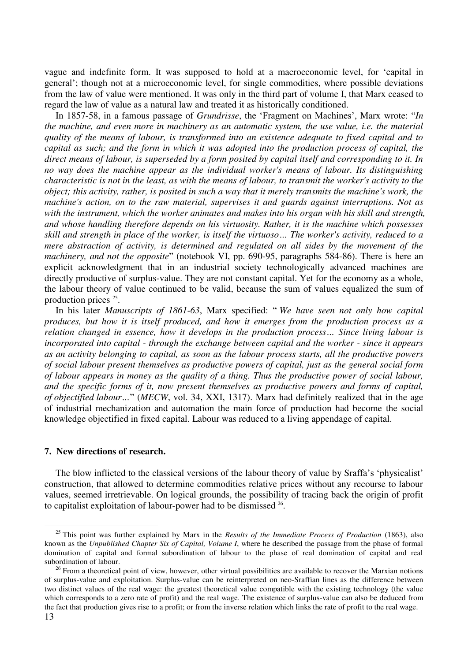vague and indefinite form. It was supposed to hold at a macroeconomic level, for 'capital in general'; though not at a microeconomic level, for single commodities, where possible deviations from the law of value were mentioned. It was only in the third part of volume I, that Marx ceased to regard the law of value as a natural law and treated it as historically conditioned.

In 1857-58, in a famous passage of *Grundrisse*, the 'Fragment on Machines', Marx wrote: "*In the machine, and even more in machinery as an automatic system, the use value, i.e. the material quality of the means of labour, is transformed into an existence adequate to fixed capital and to capital as such; and the form in which it was adopted into the production process of capital, the direct means of labour, is superseded by a form posited by capital itself and corresponding to it. In no way does the machine appear as the individual worker's means of labour. Its distinguishing characteristic is not in the least, as with the means of labour, to transmit the worker's activity to the object; this activity, rather, is posited in such a way that it merely transmits the machine's work, the machine's action, on to the raw material, supervises it and guards against interruptions. Not as with the instrument, which the worker animates and makes into his organ with his skill and strength, and whose handling therefore depends on his virtuosity. Rather, it is the machine which possesses skill and strength in place of the worker, is itself the virtuoso… The worker's activity, reduced to a mere abstraction of activity, is determined and regulated on all sides by the movement of the machinery, and not the opposite*" (notebook VI, pp. 690-95, paragraphs 584-86). There is here an explicit acknowledgment that in an industrial society technologically advanced machines are directly productive of surplus-value. They are not constant capital. Yet for the economy as a whole, the labour theory of value continued to be valid, because the sum of values equalized the sum of production prices <sup>25</sup>.

In his later *Manuscripts of 1861-63*, Marx specified: " *We have seen not only how capital produces, but how it is itself produced, and how it emerges from the production process as a relation changed in essence, how it develops in the production process… Since living labour is incorporated into capital - through the exchange between capital and the worker - since it appears as an activity belonging to capital, as soon as the labour process starts, all the productive powers of social labour present themselves as productive powers of capital, just as the general social form of labour appears in money as the quality of a thing. Thus the productive power of social labour, and the specific forms of it, now present themselves as productive powers and forms of capital, of objectified labour…*" (*MECW*, vol. 34, XXI, 1317). Marx had definitely realized that in the age of industrial mechanization and automation the main force of production had become the social knowledge objectified in fixed capital. Labour was reduced to a living appendage of capital.

## **7. New directions of research.**

The blow inflicted to the classical versions of the labour theory of value by Sraffa's 'physicalist' construction, that allowed to determine commodities relative prices without any recourse to labour values, seemed irretrievable. On logical grounds, the possibility of tracing back the origin of profit to capitalist exploitation of labour-power had to be dismissed  $26$ .

<sup>25</sup> This point was further explained by Marx in the *Results of the Immediate Process of Production* (1863), also known as the *Unpublished Chapter Six of Capital, Volume I*, where he described the passage from the phase of formal domination of capital and formal subordination of labour to the phase of real domination of capital and real subordination of labour.

 $26$  From a theoretical point of view, however, other virtual possibilities are available to recover the Marxian notions of surplus-value and exploitation. Surplus-value can be reinterpreted on neo-Sraffian lines as the difference between two distinct values of the real wage: the greatest theoretical value compatible with the existing technology (the value which corresponds to a zero rate of profit) and the real wage. The existence of surplus-value can also be deduced from the fact that production gives rise to a profit; or from the inverse relation which links the rate of profit to the real wage.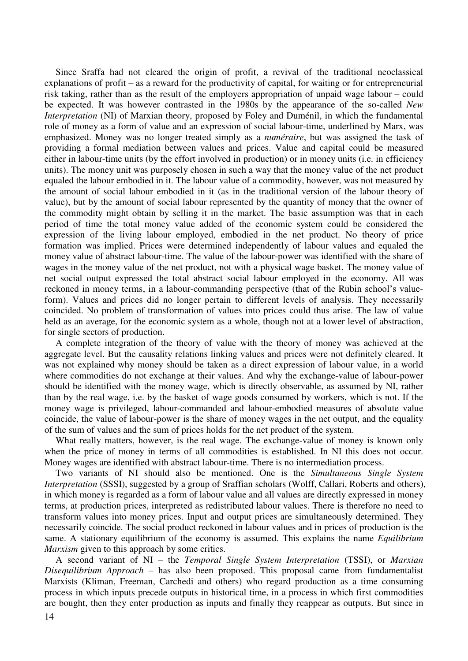Since Sraffa had not cleared the origin of profit, a revival of the traditional neoclassical explanations of profit – as a reward for the productivity of capital, for waiting or for entrepreneurial risk taking, rather than as the result of the employers appropriation of unpaid wage labour – could be expected. It was however contrasted in the 1980s by the appearance of the so-called *New Interpretation* (NI) of Marxian theory, proposed by Foley and Duménil, in which the fundamental role of money as a form of value and an expression of social labour-time, underlined by Marx, was emphasized. Money was no longer treated simply as a *numéraire*, but was assigned the task of providing a formal mediation between values and prices. Value and capital could be measured either in labour-time units (by the effort involved in production) or in money units (i.e. in efficiency units). The money unit was purposely chosen in such a way that the money value of the net product equaled the labour embodied in it. The labour value of a commodity, however, was not measured by the amount of social labour embodied in it (as in the traditional version of the labour theory of value), but by the amount of social labour represented by the quantity of money that the owner of the commodity might obtain by selling it in the market. The basic assumption was that in each period of time the total money value added of the economic system could be considered the expression of the living labour employed, embodied in the net product. No theory of price formation was implied. Prices were determined independently of labour values and equaled the money value of abstract labour-time. The value of the labour-power was identified with the share of wages in the money value of the net product, not with a physical wage basket. The money value of net social output expressed the total abstract social labour employed in the economy. All was reckoned in money terms, in a labour-commanding perspective (that of the Rubin school's valueform). Values and prices did no longer pertain to different levels of analysis. They necessarily coincided. No problem of transformation of values into prices could thus arise. The law of value held as an average, for the economic system as a whole, though not at a lower level of abstraction, for single sectors of production.

A complete integration of the theory of value with the theory of money was achieved at the aggregate level. But the causality relations linking values and prices were not definitely cleared. It was not explained why money should be taken as a direct expression of labour value, in a world where commodities do not exchange at their values. And why the exchange-value of labour-power should be identified with the money wage, which is directly observable, as assumed by NI, rather than by the real wage, i.e. by the basket of wage goods consumed by workers, which is not. If the money wage is privileged, labour-commanded and labour-embodied measures of absolute value coincide, the value of labour-power is the share of money wages in the net output, and the equality of the sum of values and the sum of prices holds for the net product of the system.

What really matters, however, is the real wage. The exchange-value of money is known only when the price of money in terms of all commodities is established. In NI this does not occur. Money wages are identified with abstract labour-time. There is no intermediation process.

Two variants of NI should also be mentioned. One is the *Simultaneous Single System Interpretation* (SSSI), suggested by a group of Sraffian scholars (Wolff, Callari, Roberts and others), in which money is regarded as a form of labour value and all values are directly expressed in money terms, at production prices, interpreted as redistributed labour values. There is therefore no need to transform values into money prices. Input and output prices are simultaneously determined. They necessarily coincide. The social product reckoned in labour values and in prices of production is the same. A stationary equilibrium of the economy is assumed. This explains the name *Equilibrium Marxism* given to this approach by some critics.

14 A second variant of NI – the *Temporal Single System Interpretation* (TSSI), or *Marxian Disequilibrium Approach* – has also been proposed. This proposal came from fundamentalist Marxists (Kliman, Freeman, Carchedi and others) who regard production as a time consuming process in which inputs precede outputs in historical time, in a process in which first commodities are bought, then they enter production as inputs and finally they reappear as outputs. But since in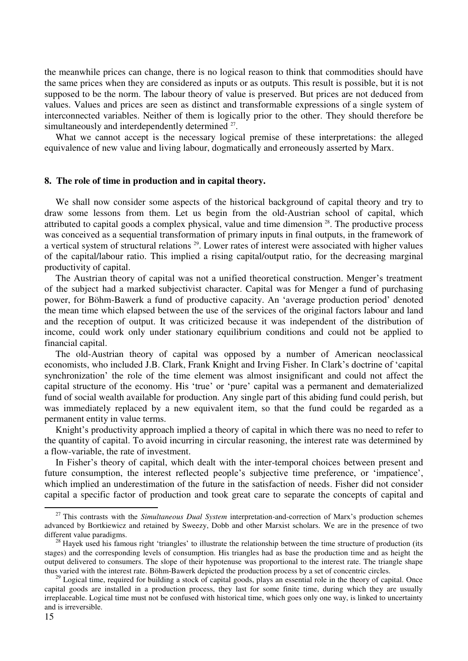the meanwhile prices can change, there is no logical reason to think that commodities should have the same prices when they are considered as inputs or as outputs. This result is possible, but it is not supposed to be the norm. The labour theory of value is preserved. But prices are not deduced from values. Values and prices are seen as distinct and transformable expressions of a single system of interconnected variables. Neither of them is logically prior to the other. They should therefore be simultaneously and interdependently determined <sup>27</sup>.

What we cannot accept is the necessary logical premise of these interpretations: the alleged equivalence of new value and living labour, dogmatically and erroneously asserted by Marx.

### **8. The role of time in production and in capital theory.**

We shall now consider some aspects of the historical background of capital theory and try to draw some lessons from them. Let us begin from the old-Austrian school of capital, which attributed to capital goods a complex physical, value and time dimension <sup>28</sup>. The productive process was conceived as a sequential transformation of primary inputs in final outputs, in the framework of a vertical system of structural relations <sup>29</sup>. Lower rates of interest were associated with higher values of the capital/labour ratio. This implied a rising capital/output ratio, for the decreasing marginal productivity of capital.

The Austrian theory of capital was not a unified theoretical construction. Menger's treatment of the subject had a marked subjectivist character. Capital was for Menger a fund of purchasing power, for Böhm-Bawerk a fund of productive capacity. An 'average production period' denoted the mean time which elapsed between the use of the services of the original factors labour and land and the reception of output. It was criticized because it was independent of the distribution of income, could work only under stationary equilibrium conditions and could not be applied to financial capital.

The old-Austrian theory of capital was opposed by a number of American neoclassical economists, who included J.B. Clark, Frank Knight and Irving Fisher. In Clark's doctrine of 'capital synchronization' the role of the time element was almost insignificant and could not affect the capital structure of the economy. His 'true' or 'pure' capital was a permanent and dematerialized fund of social wealth available for production. Any single part of this abiding fund could perish, but was immediately replaced by a new equivalent item, so that the fund could be regarded as a permanent entity in value terms.

Knight's productivity approach implied a theory of capital in which there was no need to refer to the quantity of capital. To avoid incurring in circular reasoning, the interest rate was determined by a flow-variable, the rate of investment.

In Fisher's theory of capital, which dealt with the inter-temporal choices between present and future consumption, the interest reflected people's subjective time preference, or 'impatience', which implied an underestimation of the future in the satisfaction of needs. Fisher did not consider capital a specific factor of production and took great care to separate the concepts of capital and

<sup>&</sup>lt;sup>27</sup> This contrasts with the *Simultaneous Dual System* interpretation-and-correction of Marx's production schemes advanced by Bortkiewicz and retained by Sweezy, Dobb and other Marxist scholars. We are in the presence of two different value paradigms.

 $^{28}$  Hayek used his famous right 'triangles' to illustrate the relationship between the time structure of production (its stages) and the corresponding levels of consumption. His triangles had as base the production time and as height the output delivered to consumers. The slope of their hypotenuse was proportional to the interest rate. The triangle shape thus varied with the interest rate. Böhm-Bawerk depicted the production process by a set of concentric circles.

 $^{29}$  Logical time, required for building a stock of capital goods, plays an essential role in the theory of capital. Once capital goods are installed in a production process, they last for some finite time, during which they are usually irreplaceable. Logical time must not be confused with historical time, which goes only one way, is linked to uncertainty and is irreversible.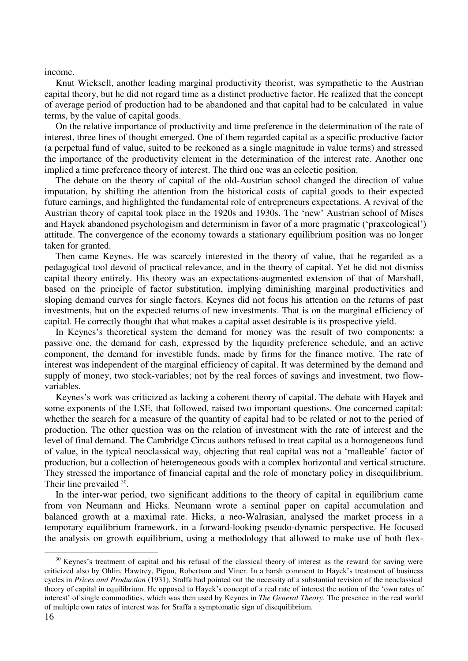income.

Knut Wicksell, another leading marginal productivity theorist, was sympathetic to the Austrian capital theory, but he did not regard time as a distinct productive factor. He realized that the concept of average period of production had to be abandoned and that capital had to be calculated in value terms, by the value of capital goods.

On the relative importance of productivity and time preference in the determination of the rate of interest, three lines of thought emerged. One of them regarded capital as a specific productive factor (a perpetual fund of value, suited to be reckoned as a single magnitude in value terms) and stressed the importance of the productivity element in the determination of the interest rate. Another one implied a time preference theory of interest. The third one was an eclectic position.

The debate on the theory of capital of the old-Austrian school changed the direction of value imputation, by shifting the attention from the historical costs of capital goods to their expected future earnings, and highlighted the fundamental role of entrepreneurs expectations. A revival of the Austrian theory of capital took place in the 1920s and 1930s. The 'new' Austrian school of Mises and Hayek abandoned psychologism and determinism in favor of a more pragmatic ('praxeological') attitude. The convergence of the economy towards a stationary equilibrium position was no longer taken for granted.

Then came Keynes. He was scarcely interested in the theory of value, that he regarded as a pedagogical tool devoid of practical relevance, and in the theory of capital. Yet he did not dismiss capital theory entirely. His theory was an expectations-augmented extension of that of Marshall, based on the principle of factor substitution, implying diminishing marginal productivities and sloping demand curves for single factors. Keynes did not focus his attention on the returns of past investments, but on the expected returns of new investments. That is on the marginal efficiency of capital. He correctly thought that what makes a capital asset desirable is its prospective yield.

In Keynes's theoretical system the demand for money was the result of two components: a passive one, the demand for cash, expressed by the liquidity preference schedule, and an active component, the demand for investible funds, made by firms for the finance motive. The rate of interest was independent of the marginal efficiency of capital. It was determined by the demand and supply of money, two stock-variables; not by the real forces of savings and investment, two flowvariables.

Keynes's work was criticized as lacking a coherent theory of capital. The debate with Hayek and some exponents of the LSE, that followed, raised two important questions. One concerned capital: whether the search for a measure of the quantity of capital had to be related or not to the period of production. The other question was on the relation of investment with the rate of interest and the level of final demand. The Cambridge Circus authors refused to treat capital as a homogeneous fund of value, in the typical neoclassical way, objecting that real capital was not a 'malleable' factor of production, but a collection of heterogeneous goods with a complex horizontal and vertical structure. They stressed the importance of financial capital and the role of monetary policy in disequilibrium. Their line prevailed <sup>30</sup>.

In the inter-war period, two significant additions to the theory of capital in equilibrium came from von Neumann and Hicks. Neumann wrote a seminal paper on capital accumulation and balanced growth at a maximal rate. Hicks, a neo-Walrasian, analysed the market process in a temporary equilibrium framework, in a forward-looking pseudo-dynamic perspective. He focused the analysis on growth equilibrium, using a methodology that allowed to make use of both flex-

 $30$  Keynes's treatment of capital and his refusal of the classical theory of interest as the reward for saying were criticized also by Ohlin, Hawtrey, Pigou, Robertson and Viner. In a harsh comment to Hayek's treatment of business cycles in *Prices and Production* (1931), Sraffa had pointed out the necessity of a substantial revision of the neoclassical theory of capital in equilibrium. He opposed to Hayek's concept of a real rate of interest the notion of the 'own rates of interest' of single commodities, which was then used by Keynes in *The General Theory*. The presence in the real world of multiple own rates of interest was for Sraffa a symptomatic sign of disequilibrium.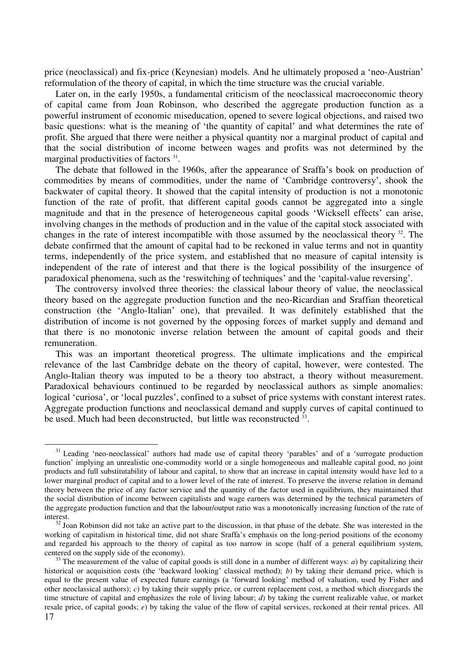price (neoclassical) and fix-price (Keynesian) models. And he ultimately proposed a 'neo-Austrian' reformulation of the theory of capital, in which the time structure was the crucial variable.

Later on, in the early 1950s, a fundamental criticism of the neoclassical macroeconomic theory of capital came from Joan Robinson, who described the aggregate production function as a powerful instrument of economic miseducation, opened to severe logical objections, and raised two basic questions: what is the meaning of 'the quantity of capital' and what determines the rate of profit. She argued that there were neither a physical quantity nor a marginal product of capital and that the social distribution of income between wages and profits was not determined by the marginal productivities of factors<sup>31</sup>.

The debate that followed in the 1960s, after the appearance of Sraffa's book on production of commodities by means of commodities, under the name of 'Cambridge controversy', shook the backwater of capital theory. It showed that the capital intensity of production is not a monotonic function of the rate of profit, that different capital goods cannot be aggregated into a single magnitude and that in the presence of heterogeneous capital goods 'Wicksell effects' can arise, involving changes in the methods of production and in the value of the capital stock associated with changes in the rate of interest incompatible with those assumed by the neoclassical theory <sup>32</sup>. The debate confirmed that the amount of capital had to be reckoned in value terms and not in quantity terms, independently of the price system, and established that no measure of capital intensity is independent of the rate of interest and that there is the logical possibility of the insurgence of paradoxical phenomena, such as the 'reswitching of techniques' and the 'capital-value reversing'.

The controversy involved three theories: the classical labour theory of value, the neoclassical theory based on the aggregate production function and the neo-Ricardian and Sraffian theoretical construction (the 'Anglo-Italian' one), that prevailed. It was definitely established that the distribution of income is not governed by the opposing forces of market supply and demand and that there is no monotonic inverse relation between the amount of capital goods and their remuneration.

This was an important theoretical progress. The ultimate implications and the empirical relevance of the last Cambridge debate on the theory of capital, however, were contested. The Anglo-Italian theory was imputed to be a theory too abstract, a theory without measurement. Paradoxical behaviours continued to be regarded by neoclassical authors as simple anomalies: logical 'curiosa', or 'local puzzles', confined to a subset of price systems with constant interest rates. Aggregate production functions and neoclassical demand and supply curves of capital continued to be used. Much had been deconstructed, but little was reconstructed <sup>33</sup>.

<sup>&</sup>lt;sup>31</sup> Leading 'neo-neoclassical' authors had made use of capital theory 'parables' and of a 'surrogate production function' implying an unrealistic one-commodity world or a single homogeneous and malleable capital good, no joint products and full substitutability of labour and capital, to show that an increase in capital intensity would have led to a lower marginal product of capital and to a lower level of the rate of interest. To preserve the inverse relation in demand theory between the price of any factor service and the quantity of the factor used in equilibrium, they maintained that the social distribution of income between capitalists and wage earners was determined by the technical parameters of the aggregate production function and that the labour/output ratio was a monotonically increasing function of the rate of interest.

 $32$  Joan Robinson did not take an active part to the discussion, in that phase of the debate. She was interested in the working of capitalism in historical time, did not share Sraffa's emphasis on the long-period positions of the economy and regarded his approach to the theory of capital as too narrow in scope (half of a general equilibrium system, centered on the supply side of the economy).

<sup>17</sup>  <sup>33</sup> The measurement of the value of capital goods is still done in a number of different ways: *a*) by capitalizing their historical or acquisition costs (the 'backward looking' classical method); *b*) by taking their demand price, which is equal to the present value of expected future earnings (a 'forward looking' method of valuation, used by Fisher and other neoclassical authors); *c*) by taking their supply price, or current replacement cost, a method which disregards the time structure of capital and emphasizes the role of living labour; *d*) by taking the current realizable value, or market resale price, of capital goods; *e*) by taking the value of the flow of capital services, reckoned at their rental prices. All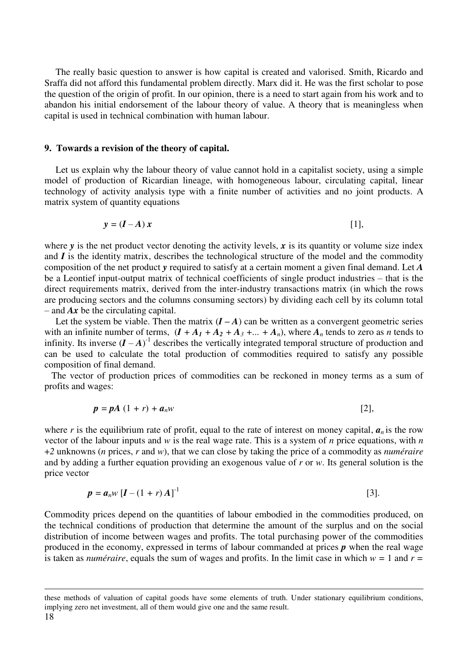The really basic question to answer is how capital is created and valorised. Smith, Ricardo and Sraffa did not afford this fundamental problem directly. Marx did it. He was the first scholar to pose the question of the origin of profit. In our opinion, there is a need to start again from his work and to abandon his initial endorsement of the labour theory of value. A theory that is meaningless when capital is used in technical combination with human labour.

#### **9. Towards a revision of the theory of capital.**

Let us explain why the labour theory of value cannot hold in a capitalist society, using a simple model of production of Ricardian lineage, with homogeneous labour, circulating capital, linear technology of activity analysis type with a finite number of activities and no joint products. A matrix system of quantity equations

$$
y = (I - A)x
$$
 [1],

where  $\bf{v}$  is the net product vector denoting the activity levels,  $\bf{x}$  is its quantity or volume size index and *I* is the identity matrix, describes the technological structure of the model and the commodity composition of the net product *y* required to satisfy at a certain moment a given final demand. Let *A* be a Leontief input-output matrix of technical coefficients of single product industries – that is the direct requirements matrix, derived from the inter-industry transactions matrix (in which the rows are producing sectors and the columns consuming sectors) by dividing each cell by its column total – and *Ax* be the circulating capital.

Let the system be viable. Then the matrix  $(I - A)$  can be written as a convergent geometric series with an infinite number of terms,  $(I + A_1 + A_2 + A_3 + ... + A_n)$ , where  $A_n$  tends to zero as *n* tends to infinity. Its inverse  $(I - A)^{-1}$  describes the vertically integrated temporal structure of production and can be used to calculate the total production of commodities required to satisfy any possible composition of final demand.

 The vector of production prices of commodities can be reckoned in money terms as a sum of profits and wages:

$$
p = pA (1+r) + a_n w \tag{2},
$$

where  $r$  is the equilibrium rate of profit, equal to the rate of interest on money capital,  $a_n$  is the row vector of the labour inputs and *w* is the real wage rate. This is a system of *n* price equations, with *n*  +*2* unknowns (*n* prices, *r* and *w*), that we can close by taking the price of a commodity as *numéraire*  and by adding a further equation providing an exogenous value of *r* or *w*. Its general solution is the price vector

$$
p = a_n w [I - (1+r) A]^{-1}
$$
 [3].

Commodity prices depend on the quantities of labour embodied in the commodities produced, on the technical conditions of production that determine the amount of the surplus and on the social distribution of income between wages and profits. The total purchasing power of the commodities produced in the economy, expressed in terms of labour commanded at prices *p* when the real wage is taken as *numéraire*, equals the sum of wages and profits. In the limit case in which  $w = 1$  and  $r =$ 

these methods of valuation of capital goods have some elements of truth. Under stationary equilibrium conditions, implying zero net investment, all of them would give one and the same result.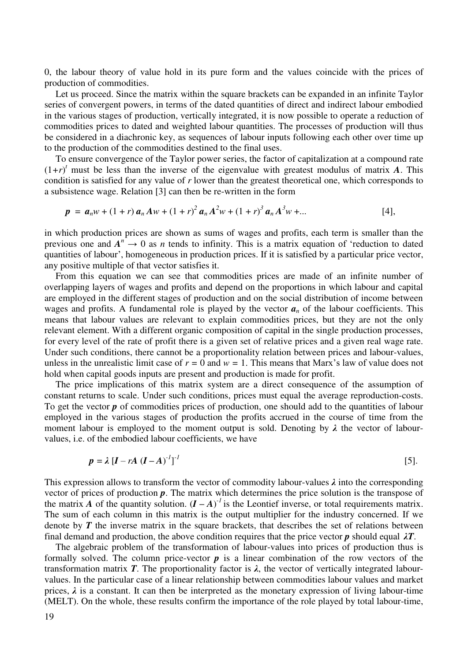0, the labour theory of value hold in its pure form and the values coincide with the prices of production of commodities.

Let us proceed. Since the matrix within the square brackets can be expanded in an infinite Taylor series of convergent powers, in terms of the dated quantities of direct and indirect labour embodied in the various stages of production, vertically integrated, it is now possible to operate a reduction of commodities prices to dated and weighted labour quantities. The processes of production will thus be considered in a diachronic key, as sequences of labour inputs following each other over time up to the production of the commodities destined to the final uses.

To ensure convergence of the Taylor power series, the factor of capitalization at a compound rate  $(1+r)^t$  must be less than the inverse of the eigenvalue with greatest modulus of matrix *A*. This condition is satisfied for any value of *r* lower than the greatest theoretical one, which corresponds to a subsistence wage. Relation [3] can then be re-written in the form

$$
p = a_n w + (1+r) a_n A w + (1+r)^2 a_n A^2 w + (1+r)^3 a_n A^3 w + ... \qquad [4],
$$

in which production prices are shown as sums of wages and profits, each term is smaller than the previous one and  $A^n \to 0$  as *n* tends to infinity. This is a matrix equation of 'reduction to dated quantities of labour', homogeneous in production prices. If it is satisfied by a particular price vector, any positive multiple of that vector satisfies it.

From this equation we can see that commodities prices are made of an infinite number of overlapping layers of wages and profits and depend on the proportions in which labour and capital are employed in the different stages of production and on the social distribution of income between wages and profits. A fundamental role is played by the vector  $a_n$  of the labour coefficients. This means that labour values are relevant to explain commodities prices, but they are not the only relevant element. With a different organic composition of capital in the single production processes, for every level of the rate of profit there is a given set of relative prices and a given real wage rate. Under such conditions, there cannot be a proportionality relation between prices and labour-values, unless in the unrealistic limit case of  $r = 0$  and  $w = 1$ . This means that Marx's law of value does not hold when capital goods inputs are present and production is made for profit.

The price implications of this matrix system are a direct consequence of the assumption of constant returns to scale. Under such conditions, prices must equal the average reproduction-costs. To get the vector *p* of commodities prices of production, one should add to the quantities of labour employed in the various stages of production the profits accrued in the course of time from the moment labour is employed to the moment output is sold. Denoting by *λ* the vector of labourvalues, i.e. of the embodied labour coefficients, we have

$$
p = \lambda \left[I - rA \left(I - A\right)^{-1}\right]^{-1}
$$
 [5].

This expression allows to transform the vector of commodity labour-values *λ* into the corresponding vector of prices of production *p*. The matrix which determines the price solution is the transpose of the matrix *A* of the quantity solution.  $(I - A)^{-1}$  is the Leontief inverse, or total requirements matrix. The sum of each column in this matrix is the output multiplier for the industry concerned. If we denote by  $T$  the inverse matrix in the square brackets, that describes the set of relations between final demand and production, the above condition requires that the price vector  $p$  should equal  $\lambda T$ .

The algebraic problem of the transformation of labour-values into prices of production thus is formally solved. The column price-vector  $p$  is a linear combination of the row vectors of the transformation matrix *T*. The proportionality factor is  $\lambda$ , the vector of vertically integrated labourvalues. In the particular case of a linear relationship between commodities labour values and market prices,  $\lambda$  is a constant. It can then be interpreted as the monetary expression of living labour-time (MELT). On the whole, these results confirm the importance of the role played by total labour-time,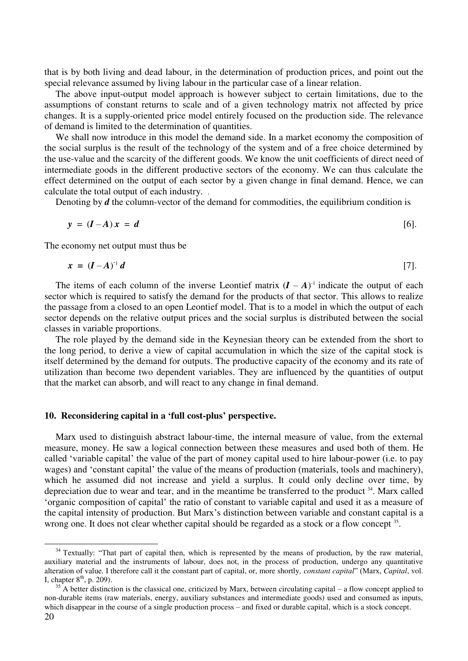that is by both living and dead labour, in the determination of production prices, and point out the special relevance assumed by living labour in the particular case of a linear relation.

The above input-output model approach is however subject to certain limitations, due to the assumptions of constant returns to scale and of a given technology matrix not affected by price changes. It is a supply-oriented price model entirely focused on the production side. The relevance of demand is limited to the determination of quantities.

We shall now introduce in this model the demand side. In a market economy the composition of the social surplus is the result of the technology of the system and of a free choice determined by the use-value and the scarcity of the different goods. We know the unit coefficients of direct need of intermediate goods in the different productive sectors of the economy. We can thus calculate the effect determined on the output of each sector by a given change in final demand. Hence, we can calculate the total output of each industry. .

Denoting by *d* the column-vector of the demand for commodities, the equilibrium condition is

$$
y = (I - A)x = d \tag{6}.
$$

The economy net output must thus be

1

$$
x = (I - A)^{-1} d \tag{7}.
$$

The items of each column of the inverse Leontief matrix  $(I - A)^{-1}$  indicate the output of each sector which is required to satisfy the demand for the products of that sector. This allows to realize the passage from a closed to an open Leontief model. That is to a model in which the output of each sector depends on the relative output prices and the social surplus is distributed between the social classes in variable proportions.

The role played by the demand side in the Keynesian theory can be extended from the short to the long period, to derive a view of capital accumulation in which the size of the capital stock is itself determined by the demand for outputs. The productive capacity of the economy and its rate of utilization than become two dependent variables. They are influenced by the quantities of output that the market can absorb, and will react to any change in final demand.

#### **10. Reconsidering capital in a 'full cost-plus' perspective.**

Marx used to distinguish abstract labour-time, the internal measure of value, from the external measure, money. He saw a logical connection between these measures and used both of them. He called 'variable capital' the value of the part of money capital used to hire labour-power (i.e. to pay wages) and 'constant capital' the value of the means of production (materials, tools and machinery), which he assumed did not increase and yield a surplus. It could only decline over time, by depreciation due to wear and tear, and in the meantime be transferred to the product  $34$ . Marx called 'organic composition of capital' the ratio of constant to variable capital and used it as a measure of the capital intensity of production. But Marx's distinction between variable and constant capital is a wrong one. It does not clear whether capital should be regarded as a stock or a flow concept <sup>35</sup>.

<sup>&</sup>lt;sup>34</sup> Textually: "That part of capital then, which is represented by the means of production, by the raw material, auxiliary material and the instruments of labour, does not, in the process of production, undergo any quantitative alteration of value. I therefore call it the constant part of capital, or, more shortly, *constant capital*" (Marx, *Capital*, vol. I, chapter  $8<sup>th</sup>$ , p. 209).

<sup>20</sup>   $35<sup>35</sup>$  A better distinction is the classical one, criticized by Marx, between circulating capital – a flow concept applied to non-durable items (raw materials, energy, auxiliary substances and intermediate goods) used and consumed as inputs, which disappear in the course of a single production process – and fixed or durable capital, which is a stock concept.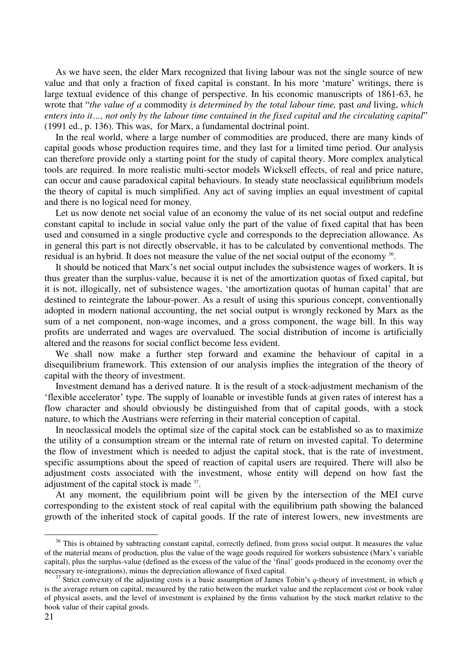As we have seen, the elder Marx recognized that living labour was not the single source of new value and that only a fraction of fixed capital is constant. In his more 'mature' writings, there is large textual evidence of this change of perspective. In his economic manuscripts of 1861-63, he wrote that "*the value of a* commodity *is determined by the total labour time,* past *and* living, *which enters into it…, not only by the labour time contained in the fixed capital and the circulating capital*" (1991 ed., p. 136). This was, for Marx, a fundamental doctrinal point.

In the real world, where a large number of commodities are produced, there are many kinds of capital goods whose production requires time, and they last for a limited time period. Our analysis can therefore provide only a starting point for the study of capital theory. More complex analytical tools are required. In more realistic multi-sector models Wicksell effects, of real and price nature, can occur and cause paradoxical capital behaviours. In steady state neoclassical equilibrium models the theory of capital is much simplified. Any act of saving implies an equal investment of capital and there is no logical need for money.

Let us now denote net social value of an economy the value of its net social output and redefine constant capital to include in social value only the part of the value of fixed capital that has been used and consumed in a single productive cycle and corresponds to the depreciation allowance. As in general this part is not directly observable, it has to be calculated by conventional methods. The residual is an hybrid. It does not measure the value of the net social output of the economy <sup>36</sup>.

It should be noticed that Marx's net social output includes the subsistence wages of workers. It is thus greater than the surplus-value, because it is net of the amortization quotas of fixed capital, but it is not, illogically, net of subsistence wages, 'the amortization quotas of human capital' that are destined to reintegrate the labour-power. As a result of using this spurious concept, conventionally adopted in modern national accounting, the net social output is wrongly reckoned by Marx as the sum of a net component, non-wage incomes, and a gross component, the wage bill. In this way profits are underrated and wages are overvalued. The social distribution of income is artificially altered and the reasons for social conflict become less evident.

We shall now make a further step forward and examine the behaviour of capital in a disequilibrium framework. This extension of our analysis implies the integration of the theory of capital with the theory of investment.

Investment demand has a derived nature. It is the result of a stock-adjustment mechanism of the 'flexible accelerator' type. The supply of loanable or investible funds at given rates of interest has a flow character and should obviously be distinguished from that of capital goods, with a stock nature, to which the Austrians were referring in their material conception of capital.

In neoclassical models the optimal size of the capital stock can be established so as to maximize the utility of a consumption stream or the internal rate of return on invested capital. To determine the flow of investment which is needed to adjust the capital stock, that is the rate of investment, specific assumptions about the speed of reaction of capital users are required. There will also be adjustment costs associated with the investment, whose entity will depend on how fast the adjustment of the capital stock is made <sup>37</sup>.

At any moment, the equilibrium point will be given by the intersection of the MEI curve corresponding to the existent stock of real capital with the equilibrium path showing the balanced growth of the inherited stock of capital goods. If the rate of interest lowers, new investments are

 $36$  This is obtained by subtracting constant capital, correctly defined, from gross social output. It measures the value of the material means of production, plus the value of the wage goods required for workers subsistence (Marx's variable capital), plus the surplus-value (defined as the excess of the value of the 'final' goods produced in the economy over the necessary re-integrations), minus the depreciation allowance of fixed capital.

<sup>37</sup> Strict convexity of the adjusting costs is a basic assumption of James Tobin's *q*-theory of investment, in which *q* is the average return on capital, measured by the ratio between the market value and the replacement cost or book value of physical assets, and the level of investment is explained by the firms valuation by the stock market relative to the book value of their capital goods.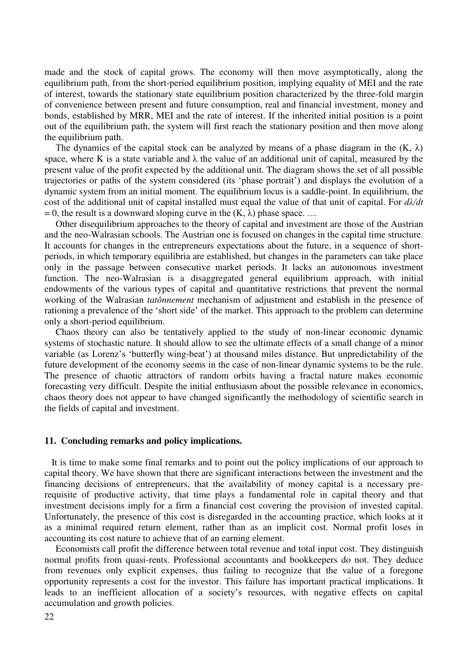made and the stock of capital grows. The economy will then move asymptotically, along the equilibrium path, from the short-period equilibrium position, implying equality of MEI and the rate of interest, towards the stationary state equilibrium position characterized by the three-fold margin of convenience between present and future consumption, real and financial investment, money and bonds, established by MRR, MEI and the rate of interest. If the inherited initial position is a point out of the equilibrium path, the system will first reach the stationary position and then move along the equilibrium path.

The dynamics of the capital stock can be analyzed by means of a phase diagram in the  $(K, \lambda)$ space, where K is a state variable and  $\lambda$  the value of an additional unit of capital, measured by the present value of the profit expected by the additional unit. The diagram shows the set of all possible trajectories or paths of the system considered (its 'phase portrait') and displays the evolution of a dynamic system from an initial moment. The equilibrium locus is a saddle-point. In equilibrium, the cost of the additional unit of capital installed must equal the value of that unit of capital. For *dλ/dt*  = 0, the result is a downward sloping curve in the  $(K, \lambda)$  phase space. ...

Other disequilibrium approaches to the theory of capital and investment are those of the Austrian and the neo-Walrasian schools. The Austrian one is focused on changes in the capital time structure. It accounts for changes in the entrepreneurs expectations about the future, in a sequence of shortperiods, in which temporary equilibria are established, but changes in the parameters can take place only in the passage between consecutive market periods. It lacks an autonomous investment function. The neo-Walrasian is a disaggregated general equilibrium approach, with initial endowments of the various types of capital and quantitative restrictions that prevent the normal working of the Walrasian *tatônnement* mechanism of adjustment and establish in the presence of rationing a prevalence of the 'short side' of the market. This approach to the problem can determine only a short-period equilibrium.

Chaos theory can also be tentatively applied to the study of non-linear economic dynamic systems of stochastic nature. It should allow to see the ultimate effects of a small change of a minor variable (as Lorenz's 'butterfly wing-beat') at thousand miles distance. But unpredictability of the future development of the economy seems in the case of non-linear dynamic systems to be the rule. The presence of chaotic attractors of random orbits having a fractal nature makes economic forecasting very difficult. Despite the initial enthusiasm about the possible relevance in economics, chaos theory does not appear to have changed significantly the methodology of scientific search in the fields of capital and investment.

#### **11. Concluding remarks and policy implications.**

It is time to make some final remarks and to point out the policy implications of our approach to capital theory. We have shown that there are significant interactions between the investment and the financing decisions of entrepreneurs, that the availability of money capital is a necessary prerequisite of productive activity, that time plays a fundamental role in capital theory and that investment decisions imply for a firm a financial cost covering the provision of invested capital. Unfortunately, the presence of this cost is disregarded in the accounting practice, which looks at it as a minimal required return element, rather than as an implicit cost. Normal profit loses in accounting its cost nature to achieve that of an earning element.

Economists call profit the difference between total revenue and total input cost. They distinguish normal profits from quasi-rents. Professional accountants and bookkeepers do not. They deduce from revenues only explicit expenses, thus failing to recognize that the value of a foregone opportunity represents a cost for the investor. This failure has important practical implications. It leads to an inefficient allocation of a society's resources, with negative effects on capital accumulation and growth policies.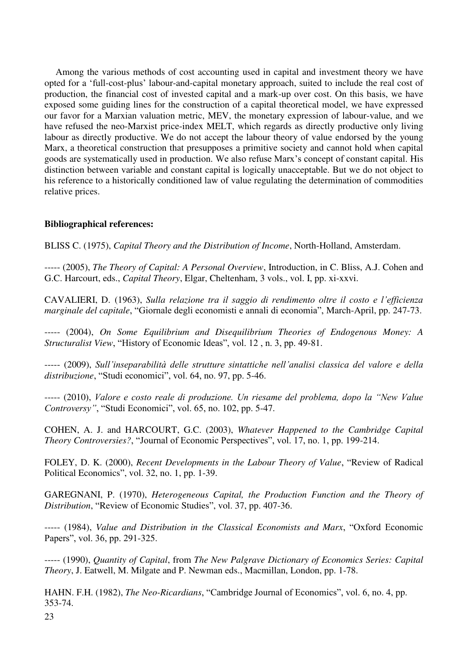Among the various methods of cost accounting used in capital and investment theory we have opted for a 'full-cost-plus' labour-and-capital monetary approach, suited to include the real cost of production, the financial cost of invested capital and a mark-up over cost. On this basis, we have exposed some guiding lines for the construction of a capital theoretical model, we have expressed our favor for a Marxian valuation metric, MEV, the monetary expression of labour-value, and we have refused the neo-Marxist price-index MELT, which regards as directly productive only living labour as directly productive. We do not accept the labour theory of value endorsed by the young Marx, a theoretical construction that presupposes a primitive society and cannot hold when capital goods are systematically used in production. We also refuse Marx's concept of constant capital. His distinction between variable and constant capital is logically unacceptable. But we do not object to his reference to a historically conditioned law of value regulating the determination of commodities relative prices.

# **Bibliographical references:**

BLISS C. (1975), *Capital Theory and the Distribution of Income*, North-Holland, Amsterdam.

----- (2005), *The Theory of Capital: A Personal Overview*, Introduction, in C. Bliss, A.J. Cohen and G.C. Harcourt, eds., *Capital Theory*, Elgar, Cheltenham, 3 vols., vol. I, pp. xi-xxvi.

CAVALIERI, D. (1963), *Sulla relazione tra il saggio di rendimento oltre il costo e l'efficienza marginale del capitale*, "Giornale degli economisti e annali di economia", March-April, pp. 247-73.

----- (2004), *On Some Equilibrium and Disequilibrium Theories of Endogenous Money: A Structuralist View*, "History of Economic Ideas", vol. 12 , n. 3, pp. 49-81.

----- (2009), *Sull'inseparabilità delle strutture sintattiche nell'analisi classica del valore e della distribuzione*, "Studi economici", vol. 64, no. 97, pp. 5-46.

----- (2010), *Valore e costo reale di produzione. Un riesame del problema, dopo la "New Value Controversy"*, "Studi Economici", vol. 65, no. 102, pp. 5-47.

COHEN, A. J. and HARCOURT, G.C. (2003), *Whatever Happened to the Cambridge Capital Theory Controversies?*, "Journal of Economic Perspectives", vol. 17, no. 1, pp. 199-214.

FOLEY, D. K. (2000), *Recent Developments in the Labour Theory of Value*, "Review of Radical Political Economics", vol. 32, no. 1, pp. 1-39.

GAREGNANI, P. (1970), *Heterogeneous Capital, the Production Function and the Theory of Distribution*, "Review of Economic Studies", vol. 37, pp. 407-36.

----- (1984), *Value and Distribution in the Classical Economists and Marx*, "Oxford Economic Papers", vol. 36, pp. 291-325.

----- (1990), *Quantity of Capital*, from *The New Palgrave Dictionary of Economics Series: Capital Theory*, J. Eatwell, M. Milgate and P. Newman eds., Macmillan, London, pp. 1-78.

HAHN. F.H. (1982), *The Neo-Ricardians*, "Cambridge Journal of Economics", vol. 6, no. 4, pp. 353-74.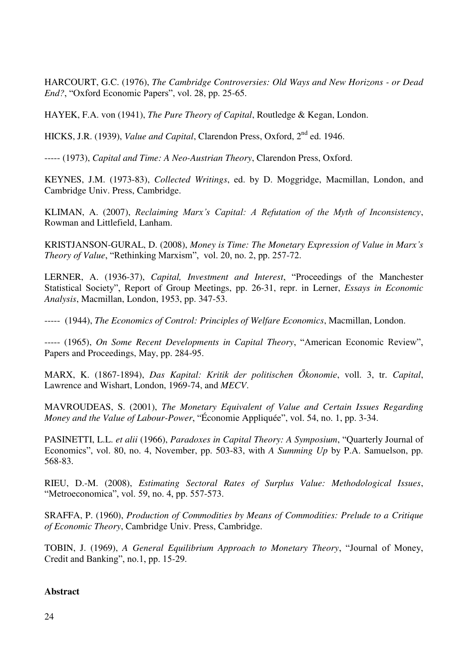HARCOURT, G.C. (1976), *The Cambridge Controversies: Old Ways and New Horizons - or Dead End?*, "Oxford Economic Papers", vol. 28, pp. 25-65.

HAYEK, F.A. von (1941), *The Pure Theory of Capital*, Routledge & Kegan, London.

HICKS, J.R. (1939), *Value and Capital*, Clarendon Press, Oxford, 2<sup>nd</sup> ed. 1946.

----- (1973), *Capital and Time: A Neo-Austrian Theory*, Clarendon Press, Oxford.

KEYNES, J.M. (1973-83), *Collected Writings*, ed. by D. Moggridge, Macmillan, London, and Cambridge Univ. Press, Cambridge.

KLIMAN, A. (2007), *Reclaiming Marx's Capital: A Refutation of the Myth of Inconsistency*, Rowman and Littlefield, Lanham.

KRISTJANSON-GURAL, D. (2008), *Money is Time: The Monetary Expression of Value in Marx's Theory of Value*, "Rethinking Marxism", vol. 20, no. 2, pp. 257-72.

LERNER, A. (1936-37), *Capital, Investment and Interest*, "Proceedings of the Manchester Statistical Society", Report of Group Meetings, pp. 26-31, repr. in Lerner, *Essays in Economic Analysis*, Macmillan, London, 1953, pp. 347-53.

----- (1944), *The Economics of Control: Principles of Welfare Economics*, Macmillan, London.

----- (1965), *On Some Recent Developments in Capital Theory*, "American Economic Review", Papers and Proceedings, May, pp. 284-95.

MARX, K. (1867-1894), *Das Kapital: Kritik der politischen Őkonomie*, voll. 3, tr. *Capital*, Lawrence and Wishart, London, 1969-74, and *MECV*.

MAVROUDEAS, S. (2001), *The Monetary Equivalent of Value and Certain Issues Regarding Money and the Value of Labour-Power*, "Économie Appliquée", vol. 54, no. 1, pp. 3-34.

PASINETTI, L.L. *et alii* (1966), *Paradoxes in Capital Theory: A Symposium*, "Quarterly Journal of Economics", vol. 80, no. 4, November, pp. 503-83, with *A Summing Up* by P.A. Samuelson, pp. 568-83.

RIEU, D.-M. (2008), *Estimating Sectoral Rates of Surplus Value: Methodological Issues*, "Metroeconomica", vol. 59, no. 4, pp. 557-573.

SRAFFA, P. (1960), *Production of Commodities by Means of Commodities: Prelude to a Critique of Economic Theory*, Cambridge Univ. Press, Cambridge.

TOBIN, J. (1969), *A General Equilibrium Approach to Monetary Theory*, "Journal of Money, Credit and Banking", no.1, pp. 15-29.

# **Abstract**